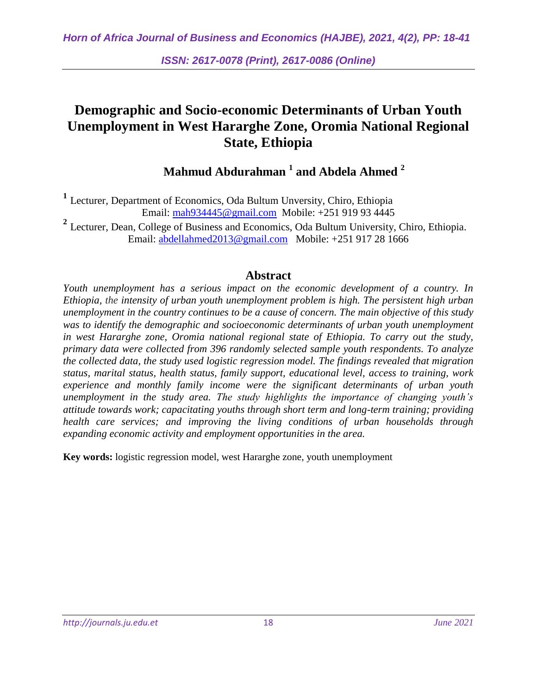# **Demographic and Socio-economic Determinants of Urban Youth Unemployment in West Hararghe Zone, Oromia National Regional State, Ethiopia**

## **Mahmud Abdurahman <sup>1</sup> and Abdela Ahmed <sup>2</sup>**

**1** Lecturer, Department of Economics, Oda Bultum Unversity, Chiro, Ethiopia Email: [mah934445@gmail.com](mailto:mah934445@gmail.com) Mobile: +251 919 93 4445 **2** Lecturer, Dean, College of Business and Economics, Oda Bultum University, Chiro, Ethiopia. Email: [abdellahmed2013@gmail.com](mailto:abdellahmed2013@gmail.com) Mobile: +251 917 28 1666

## **Abstract**

*Youth unemployment has a serious impact on the economic development of a country. In Ethiopia, the intensity of urban youth unemployment problem is high. The persistent high urban unemployment in the country continues to be a cause of concern. The main objective of this study was to identify the demographic and socioeconomic determinants of urban youth unemployment in west Hararghe zone, Oromia national regional state of Ethiopia. To carry out the study, primary data were collected from 396 randomly selected sample youth respondents. To analyze the collected data, the study used logistic regression model. The findings revealed that migration status, marital status, health status, family support, educational level, access to training, work experience and monthly family income were the significant determinants of urban youth unemployment in the study area. The study highlights the importance of changing youth's attitude towards work; capacitating youths through short term and long-term training; providing health care services; and improving the living conditions of urban households through expanding economic activity and employment opportunities in the area.* 

**Key words:** logistic regression model, west Hararghe zone, youth unemployment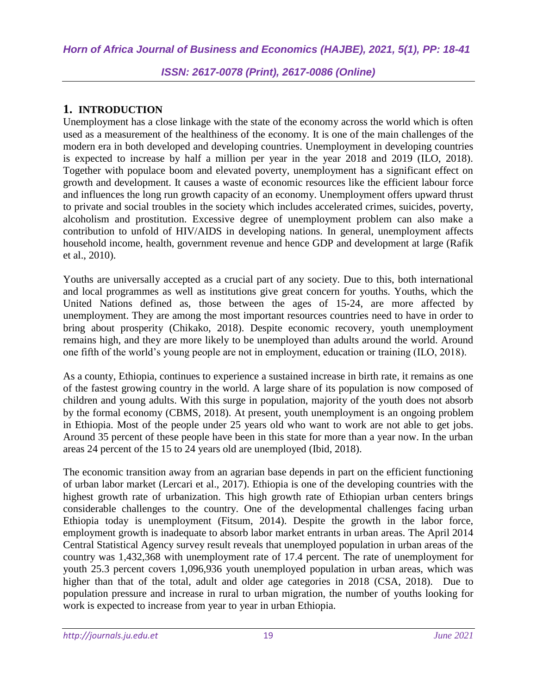## **1. INTRODUCTION**

Unemployment has a close linkage with the state of the economy across the world which is often used as a measurement of the healthiness of the economy. It is one of the main challenges of the modern era in both developed and developing countries. Unemployment in developing countries is expected to increase by half a million per year in the year 2018 and 2019 (ILO, 2018). Together with populace boom and elevated poverty, unemployment has a significant effect on growth and development. It causes a waste of economic resources like the efficient labour force and influences the long run growth capacity of an economy. Unemployment offers upward thrust to private and social troubles in the society which includes accelerated crimes, suicides, poverty, alcoholism and prostitution. Excessive degree of unemployment problem can also make a contribution to unfold of HIV/AIDS in developing nations. In general, unemployment affects household income, health, government revenue and hence GDP and development at large (Rafik et al., 2010).

Youths are universally accepted as a crucial part of any society. Due to this, both international and local programmes as well as institutions give great concern for youths. Youths, which the United Nations defined as, those between the ages of 15-24, are more affected by unemployment. They are among the most important resources countries need to have in order to bring about prosperity (Chikako, 2018). Despite economic recovery, youth unemployment remains high, and they are more likely to be unemployed than adults around the world. Around one fifth of the world's young people are not in employment, education or training (ILO, 2018).

As a county, Ethiopia, continues to experience a sustained increase in birth rate, it remains as one of the fastest growing country in the world. A large share of its population is now composed of children and young adults. With this surge in population, majority of the youth does not absorb by the formal economy (CBMS, 2018). At present, youth unemployment is an ongoing problem in Ethiopia. Most of the people under 25 years old who want to work are not able to get jobs. Around 35 percent of these people have been in this state for more than a year now. In the urban areas 24 percent of the 15 to 24 years old are unemployed (Ibid, 2018).

The economic transition away from an agrarian base depends in part on the efficient functioning of urban labor market (Lercari et al., 2017). Ethiopia is one of the developing countries with the highest growth rate of urbanization. This high growth rate of Ethiopian urban centers brings considerable challenges to the country. One of the developmental challenges facing urban Ethiopia today is unemployment (Fitsum, 2014). Despite the growth in the labor force, employment growth is inadequate to absorb labor market entrants in urban areas. The April 2014 Central Statistical Agency survey result reveals that unemployed population in urban areas of the country was 1,432,368 with unemployment rate of 17.4 percent. The rate of unemployment for youth 25.3 percent covers 1,096,936 youth unemployed population in urban areas, which was higher than that of the total, adult and older age categories in 2018 (CSA, 2018). Due to population pressure and increase in rural to urban migration, the number of youths looking for work is expected to increase from year to year in urban Ethiopia.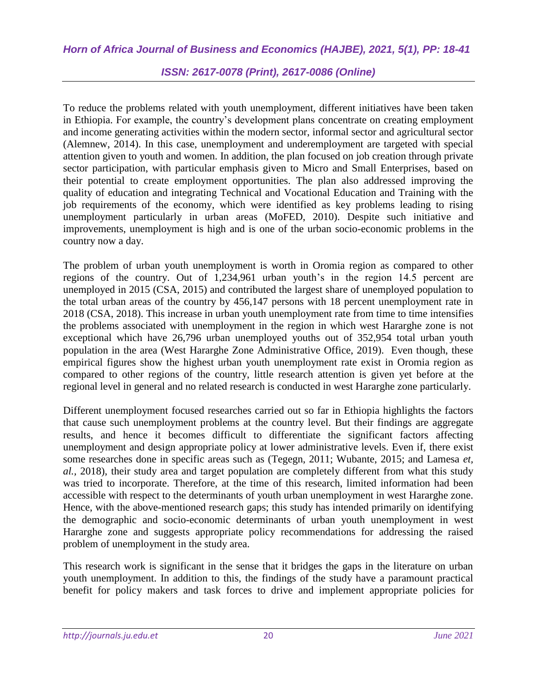To reduce the problems related with youth unemployment, different initiatives have been taken in Ethiopia. For example, the country's development plans concentrate on creating employment and income generating activities within the modern sector, informal sector and agricultural sector (Alemnew, 2014). In this case, unemployment and underemployment are targeted with special attention given to youth and women. In addition, the plan focused on job creation through private sector participation, with particular emphasis given to Micro and Small Enterprises, based on their potential to create employment opportunities. The plan also addressed improving the quality of education and integrating Technical and Vocational Education and Training with the job requirements of the economy, which were identified as key problems leading to rising unemployment particularly in urban areas (MoFED, 2010). Despite such initiative and improvements, unemployment is high and is one of the urban socio-economic problems in the country now a day.

The problem of urban youth unemployment is worth in Oromia region as compared to other regions of the country. Out of 1,234,961 urban youth's in the region 14.5 percent are unemployed in 2015 (CSA, 2015) and contributed the largest share of unemployed population to the total urban areas of the country by 456,147 persons with 18 percent unemployment rate in 2018 (CSA, 2018). This increase in urban youth unemployment rate from time to time intensifies the problems associated with unemployment in the region in which west Hararghe zone is not exceptional which have 26,796 urban unemployed youths out of 352,954 total urban youth population in the area (West Hararghe Zone Administrative Office, 2019). Even though, these empirical figures show the highest urban youth unemployment rate exist in Oromia region as compared to other regions of the country, little research attention is given yet before at the regional level in general and no related research is conducted in west Hararghe zone particularly.

Different unemployment focused researches carried out so far in Ethiopia highlights the factors that cause such unemployment problems at the country level. But their findings are aggregate results, and hence it becomes difficult to differentiate the significant factors affecting unemployment and design appropriate policy at lower administrative levels. Even if, there exist some researches done in specific areas such as (Tegegn, 2011; Wubante, 2015; and Lamesa *et, al.,* 2018), their study area and target population are completely different from what this study was tried to incorporate. Therefore, at the time of this research, limited information had been accessible with respect to the determinants of youth urban unemployment in west Hararghe zone. Hence, with the above-mentioned research gaps; this study has intended primarily on identifying the demographic and socio-economic determinants of urban youth unemployment in west Hararghe zone and suggests appropriate policy recommendations for addressing the raised problem of unemployment in the study area.

This research work is significant in the sense that it bridges the gaps in the literature on urban youth unemployment. In addition to this, the findings of the study have a paramount practical benefit for policy makers and task forces to drive and implement appropriate policies for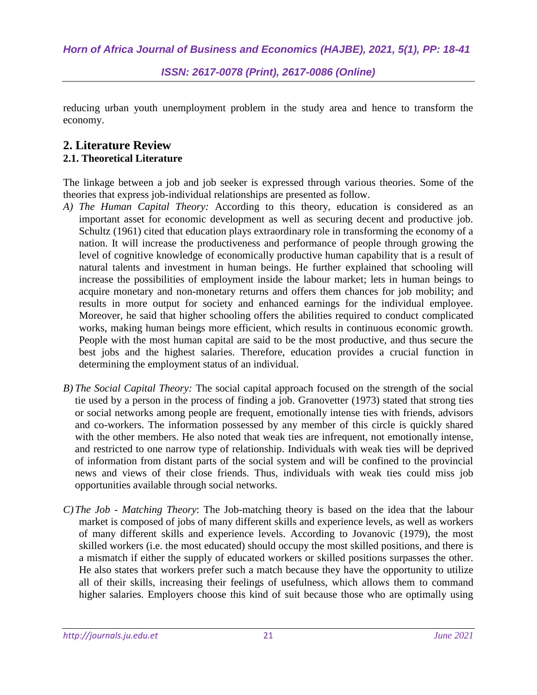reducing urban youth unemployment problem in the study area and hence to transform the economy.

## **2. Literature Review 2.1. Theoretical Literature**

The linkage between a job and job seeker is expressed through various theories. Some of the theories that express job-individual relationships are presented as follow.

- *A) The Human Capital Theory:* According to this theory, education is considered as an important asset for economic development as well as securing decent and productive job. Schultz (1961) cited that education plays extraordinary role in transforming the economy of a nation. It will increase the productiveness and performance of people through growing the level of cognitive knowledge of economically productive human capability that is a result of natural talents and investment in human beings. He further explained that schooling will increase the possibilities of employment inside the labour market; lets in human beings to acquire monetary and non-monetary returns and offers them chances for job mobility; and results in more output for society and enhanced earnings for the individual employee. Moreover, he said that higher schooling offers the abilities required to conduct complicated works, making human beings more efficient, which results in continuous economic growth. People with the most human capital are said to be the most productive, and thus secure the best jobs and the highest salaries. Therefore, education provides a crucial function in determining the employment status of an individual.
- *B) The Social Capital Theory:* The social capital approach focused on the strength of the social tie used by a person in the process of finding a job. Granovetter (1973) stated that strong ties or social networks among people are frequent, emotionally intense ties with friends, advisors and co-workers. The information possessed by any member of this circle is quickly shared with the other members. He also noted that weak ties are infrequent, not emotionally intense, and restricted to one narrow type of relationship. Individuals with weak ties will be deprived of information from distant parts of the social system and will be confined to the provincial news and views of their close friends. Thus, individuals with weak ties could miss job opportunities available through social networks.
- *C)The Job - Matching Theory*: The Job-matching theory is based on the idea that the labour market is composed of jobs of many different skills and experience levels, as well as workers of many different skills and experience levels. According to Jovanovic (1979), the most skilled workers (i.e. the most educated) should occupy the most skilled positions, and there is a mismatch if either the supply of educated workers or skilled positions surpasses the other. He also states that workers prefer such a match because they have the opportunity to utilize all of their skills, increasing their feelings of usefulness, which allows them to command higher salaries. Employers choose this kind of suit because those who are optimally using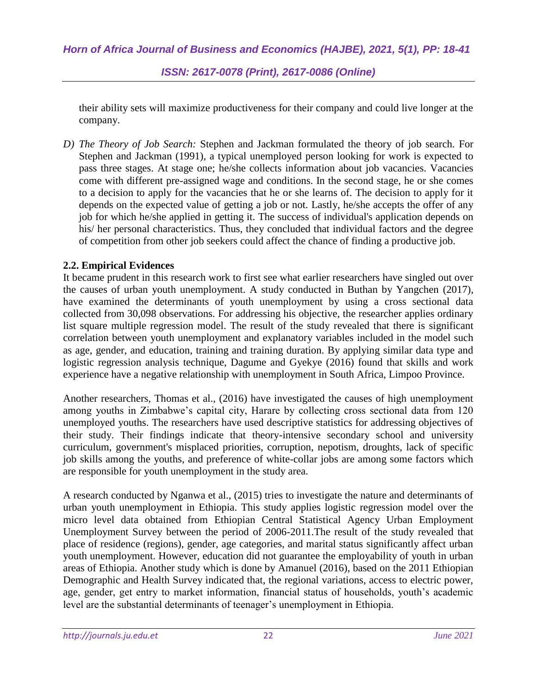their ability sets will maximize productiveness for their company and could live longer at the company.

*D) The Theory of Job Search:* Stephen and Jackman formulated the theory of job search. For Stephen and Jackman (1991), a typical unemployed person looking for work is expected to pass three stages. At stage one; he/she collects information about job vacancies. Vacancies come with different pre-assigned wage and conditions. In the second stage, he or she comes to a decision to apply for the vacancies that he or she learns of. The decision to apply for it depends on the expected value of getting a job or not. Lastly, he/she accepts the offer of any job for which he/she applied in getting it. The success of individual's application depends on his/ her personal characteristics. Thus, they concluded that individual factors and the degree of competition from other job seekers could affect the chance of finding a productive job.

## **2.2. Empirical Evidences**

It became prudent in this research work to first see what earlier researchers have singled out over the causes of urban youth unemployment. A study conducted in Buthan by Yangchen (2017), have examined the determinants of youth unemployment by using a cross sectional data collected from 30,098 observations. For addressing his objective, the researcher applies ordinary list square multiple regression model. The result of the study revealed that there is significant correlation between youth unemployment and explanatory variables included in the model such as age, gender, and education, training and training duration. By applying similar data type and logistic regression analysis technique, Dagume and Gyekye (2016) found that skills and work experience have a negative relationship with unemployment in South Africa, Limpoo Province.

Another researchers, Thomas et al., (2016) have investigated the causes of high unemployment among youths in Zimbabwe's capital city, Harare by collecting cross sectional data from 120 unemployed youths. The researchers have used descriptive statistics for addressing objectives of their study. Their findings indicate that theory-intensive secondary school and university curriculum, government's misplaced priorities, corruption, nepotism, droughts, lack of specific job skills among the youths, and preference of white-collar jobs are among some factors which are responsible for youth unemployment in the study area.

A research conducted by Nganwa et al., (2015) tries to investigate the nature and determinants of urban youth unemployment in Ethiopia. This study applies logistic regression model over the micro level data obtained from Ethiopian Central Statistical Agency Urban Employment Unemployment Survey between the period of 2006-2011.The result of the study revealed that place of residence (regions), gender, age categories, and marital status significantly affect urban youth unemployment. However, education did not guarantee the employability of youth in urban areas of Ethiopia. Another study which is done by Amanuel (2016), based on the 2011 Ethiopian Demographic and Health Survey indicated that, the regional variations, access to electric power, age, gender, get entry to market information, financial status of households, youth's academic level are the substantial determinants of teenager's unemployment in Ethiopia.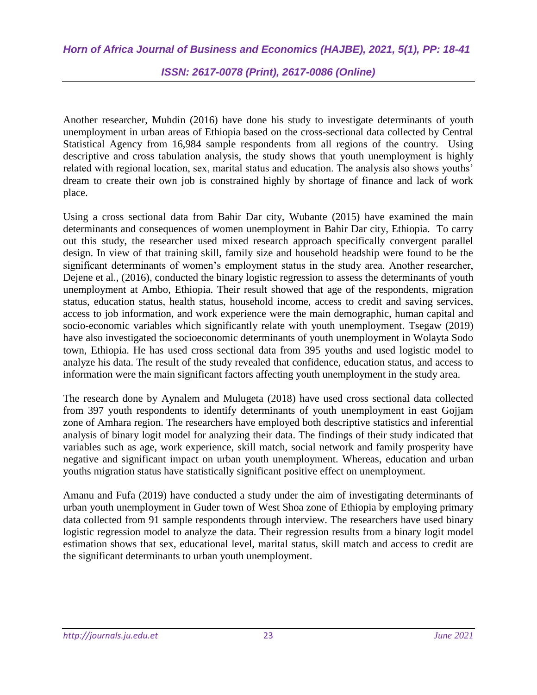Another researcher, Muhdin (2016) have done his study to investigate determinants of youth unemployment in urban areas of Ethiopia based on the cross-sectional data collected by Central Statistical Agency from 16,984 sample respondents from all regions of the country. Using descriptive and cross tabulation analysis, the study shows that youth unemployment is highly related with regional location, sex, marital status and education. The analysis also shows youths' dream to create their own job is constrained highly by shortage of finance and lack of work place.

Using a cross sectional data from Bahir Dar city, Wubante (2015) have examined the main determinants and consequences of women unemployment in Bahir Dar city, Ethiopia. To carry out this study, the researcher used mixed research approach specifically convergent parallel design. In view of that training skill, family size and household headship were found to be the significant determinants of women's employment status in the study area. Another researcher, Dejene et al., (2016), conducted the binary logistic regression to assess the determinants of youth unemployment at Ambo, Ethiopia. Their result showed that age of the respondents, migration status, education status, health status, household income, access to credit and saving services, access to job information, and work experience were the main demographic, human capital and socio-economic variables which significantly relate with youth unemployment. Tsegaw (2019) have also investigated the socioeconomic determinants of youth unemployment in Wolayta Sodo town, Ethiopia. He has used cross sectional data from 395 youths and used logistic model to analyze his data. The result of the study revealed that confidence, education status, and access to information were the main significant factors affecting youth unemployment in the study area.

The research done by Aynalem and Mulugeta (2018) have used cross sectional data collected from 397 youth respondents to identify determinants of youth unemployment in east Gojjam zone of Amhara region. The researchers have employed both descriptive statistics and inferential analysis of binary logit model for analyzing their data. The findings of their study indicated that variables such as age, work experience, skill match, social network and family prosperity have negative and significant impact on urban youth unemployment. Whereas, education and urban youths migration status have statistically significant positive effect on unemployment.

Amanu and Fufa (2019) have conducted a study under the aim of investigating determinants of urban youth unemployment in Guder town of West Shoa zone of Ethiopia by employing primary data collected from 91 sample respondents through interview. The researchers have used binary logistic regression model to analyze the data. Their regression results from a binary logit model estimation shows that sex, educational level, marital status, skill match and access to credit are the significant determinants to urban youth unemployment.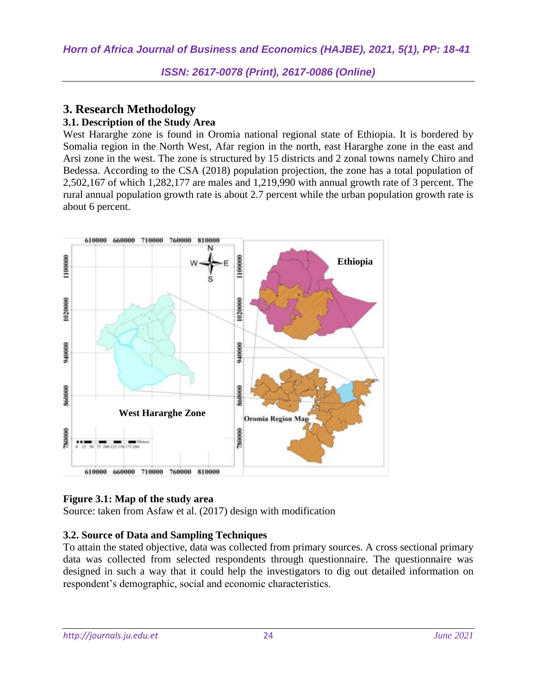## **3. Research Methodology**

## **3.1. Description of the Study Area**

West Hararghe zone is found in Oromia national regional state of Ethiopia. It is bordered by Somalia region in the North West, Afar region in the north, east Hararghe zone in the east and Arsi zone in the west. The zone is structured by 15 districts and 2 zonal towns namely Chiro and Bedessa. According to the CSA (2018) population projection, the zone has a total population of 2,502,167 of which 1,282,177 are males and 1,219,990 with annual growth rate of 3 percent. The rural annual population growth rate is about 2.7 percent while the urban population growth rate is about 6 percent.



## **Figure 3.1: Map of the study area**

Source: taken from Asfaw et al. (2017) design with modification

## **3.2. Source of Data and Sampling Techniques**

To attain the stated objective, data was collected from primary sources. A cross sectional primary data was collected from selected respondents through questionnaire. The questionnaire was designed in such a way that it could help the investigators to dig out detailed information on respondent's demographic, social and economic characteristics.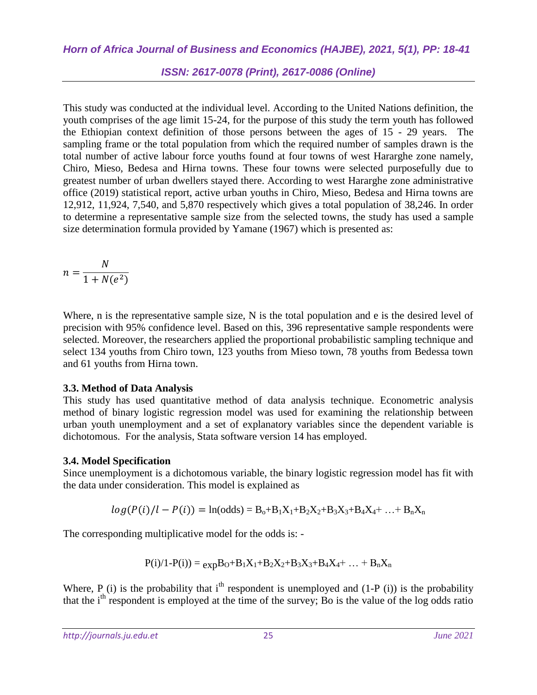This study was conducted at the individual level. According to the United Nations definition, the youth comprises of the age limit 15-24, for the purpose of this study the term youth has followed the Ethiopian context definition of those persons between the ages of 15 - 29 years. The sampling frame or the total population from which the required number of samples drawn is the total number of active labour force youths found at four towns of west Hararghe zone namely, Chiro, Mieso, Bedesa and Hirna towns. These four towns were selected purposefully due to greatest number of urban dwellers stayed there. According to west Hararghe zone administrative office (2019) statistical report, active urban youths in Chiro, Mieso, Bedesa and Hirna towns are 12,912, 11,924, 7,540, and 5,870 respectively which gives a total population of 38,246. In order to determine a representative sample size from the selected towns, the study has used a sample size determination formula provided by Yamane (1967) which is presented as:

$$
n = \frac{N}{1 + N(e^2)}
$$

Where, n is the representative sample size, N is the total population and e is the desired level of precision with 95% confidence level. Based on this, 396 representative sample respondents were selected. Moreover, the researchers applied the proportional probabilistic sampling technique and select 134 youths from Chiro town, 123 youths from Mieso town, 78 youths from Bedessa town and 61 youths from Hirna town.

### **3.3. Method of Data Analysis**

This study has used quantitative method of data analysis technique. Econometric analysis method of binary logistic regression model was used for examining the relationship between urban youth unemployment and a set of explanatory variables since the dependent variable is dichotomous. For the analysis, Stata software version 14 has employed.

### **3.4. Model Specification**

Since unemployment is a dichotomous variable, the binary logistic regression model has fit with the data under consideration. This model is explained as

$$
log(P(i)/l - P(i)) = ln(odds) = B_0 + B_1X_1 + B_2X_2 + B_3X_3 + B_4X_4 + ... + B_nX_n
$$

The corresponding multiplicative model for the odds is: -

$$
P(i)/1\hbox{-} P(i)) = \mathop{exp}\nolimits B_0 + B_1X_1 + B_2X_2 + B_3X_3 + B_4X_4 + \ \ldots \ + B_nX_n
$$

Where, P (i) is the probability that i<sup>th</sup> respondent is unemployed and  $(1-P_1(i))$  is the probability that the i<sup>th</sup> respondent is employed at the time of the survey; Bo is the value of the log odds ratio

*http://journals.ju.edu.et* 25 *June 2021*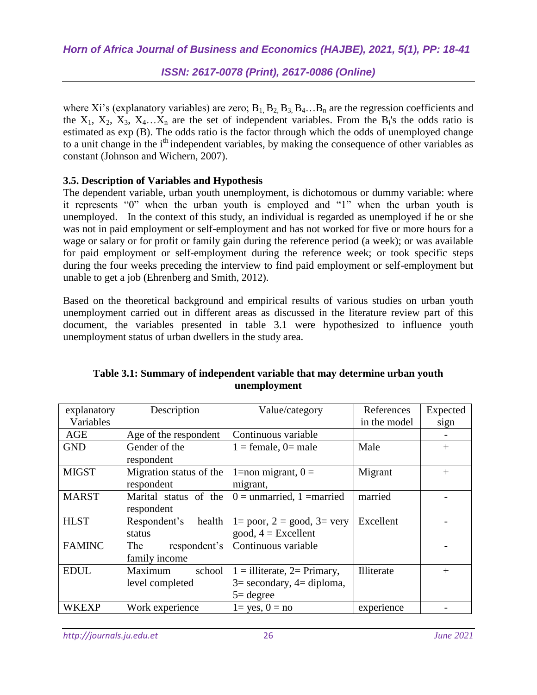where Xi's (explanatory variables) are zero;  $B_1, B_2, B_3, B_4, \ldots, B_n$  are the regression coefficients and the  $X_1$ ,  $X_2$ ,  $X_3$ ,  $X_4...X_n$  are the set of independent variables. From the  $B_i$ 's the odds ratio is estimated as exp (B). The odds ratio is the factor through which the odds of unemployed change to a unit change in the i<sup>th</sup> independent variables, by making the consequence of other variables as constant (Johnson and Wichern, 2007).

## **3.5. Description of Variables and Hypothesis**

The dependent variable, urban youth unemployment, is dichotomous or dummy variable: where it represents "0" when the urban youth is employed and "1" when the urban youth is unemployed. In the context of this study, an individual is regarded as unemployed if he or she was not in paid employment or self-employment and has not worked for five or more hours for a wage or salary or for profit or family gain during the reference period (a week); or was available for paid employment or self-employment during the reference week; or took specific steps during the four weeks preceding the interview to find paid employment or self-employment but unable to get a job (Ehrenberg and Smith, 2012).

Based on the theoretical background and empirical results of various studies on urban youth unemployment carried out in different areas as discussed in the literature review part of this document, the variables presented in table 3.1 were hypothesized to influence youth unemployment status of urban dwellers in the study area.

| explanatory   | Description             | Value/category                     | References   | Expected |
|---------------|-------------------------|------------------------------------|--------------|----------|
| Variables     |                         |                                    | in the model | sign     |
| AGE           | Age of the respondent   | Continuous variable                |              |          |
| <b>GND</b>    | Gender of the           | $1 =$ female, 0= male              | Male         | $+$      |
|               | respondent              |                                    |              |          |
| <b>MIGST</b>  | Migration status of the | 1=non migrant, $0 =$               | Migrant      | $+$      |
|               | respondent              | migrant,                           |              |          |
| <b>MARST</b>  | Marital status of the   | $0 =$ unmarried, 1 = married       | married      |          |
|               | respondent              |                                    |              |          |
| <b>HLST</b>   | health<br>Respondent's  | $1 =$ poor, $2 =$ good, $3 =$ very | Excellent    |          |
|               | status                  | good, $4 =$ Excellent              |              |          |
| <b>FAMINC</b> | respondent's<br>The     | Continuous variable                |              |          |
|               | family income           |                                    |              |          |
| <b>EDUL</b>   | school<br>Maximum       | $1 =$ illiterate, $2 =$ Primary,   | Illiterate   | $+$      |
|               | level completed         | $3=$ secondary, $4=$ diploma,      |              |          |
|               |                         | $5 = degree$                       |              |          |
| <b>WKEXP</b>  | Work experience         | $1 = yes, 0 = no$                  | experience   |          |

## **Table 3.1: Summary of independent variable that may determine urban youth unemployment**

*http://journals.ju.edu.et* 26 *June 2021*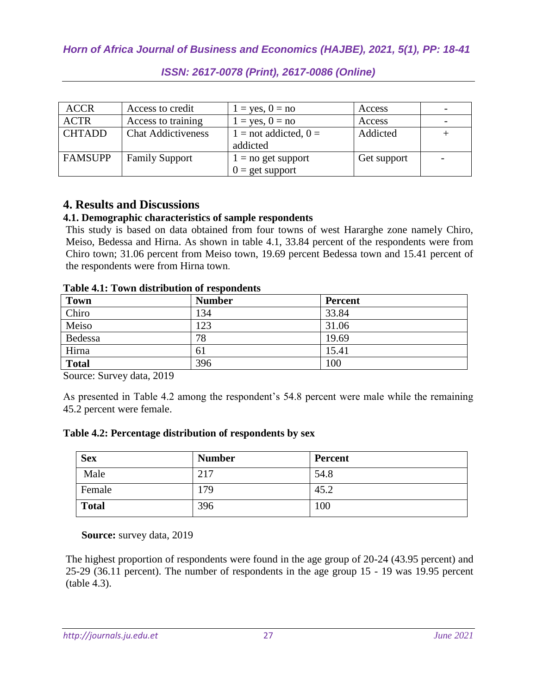| <b>ACCR</b>    | Access to credit          | $1 = yes, 0 = no$         | Access      |  |
|----------------|---------------------------|---------------------------|-------------|--|
| <b>ACTR</b>    | Access to training        | $1 = yes, 0 = no$         | Access      |  |
| <b>CHTADD</b>  | <b>Chat Addictiveness</b> | $1 =$ not addicted, $0 =$ | Addicted    |  |
|                |                           | addicted                  |             |  |
| <b>FAMSUPP</b> | <b>Family Support</b>     | $1 = no$ get support      | Get support |  |
|                |                           | $0 = get support$         |             |  |

## **4. Results and Discussions**

### **4.1. Demographic characteristics of sample respondents**

This study is based on data obtained from four towns of west Hararghe zone namely Chiro, Meiso, Bedessa and Hirna. As shown in table 4.1, 33.84 percent of the respondents were from Chiro town; 31.06 percent from Meiso town, 19.69 percent Bedessa town and 15.41 percent of the respondents were from Hirna town.

| <b>Town</b>  | <b>Number</b> | Percent |
|--------------|---------------|---------|
| Chiro        | 134           | 33.84   |
| Meiso        | 123           | 31.06   |
| Bedessa      | 78            | 19.69   |
| Hirna        | 61            | 15.41   |
| <b>Total</b> | 396           | 100     |

Source: Survey data, 2019

As presented in Table 4.2 among the respondent's 54.8 percent were male while the remaining 45.2 percent were female.

### **Table 4.2: Percentage distribution of respondents by sex**

| <b>Sex</b>   | <b>Number</b> | <b>Percent</b> |
|--------------|---------------|----------------|
| Male         | 217           | 54.8           |
| Female       | 179           | 45.2           |
| <b>Total</b> | 396           | 100            |

**Source:** survey data, 2019

The highest proportion of respondents were found in the age group of 20-24 (43.95 percent) and 25-29 (36.11 percent). The number of respondents in the age group 15 - 19 was 19.95 percent (table 4.3).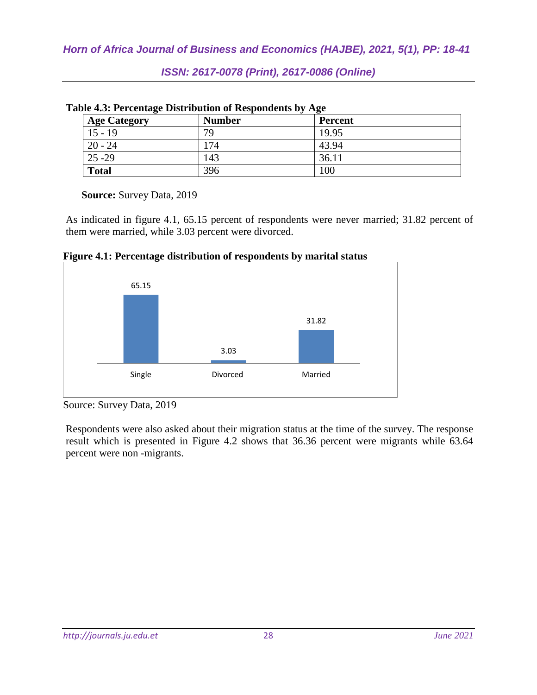| <b>Age Category</b> | <b>Number</b> | Percent |  |
|---------------------|---------------|---------|--|
| $15 - 19$           | 79            | 19.95   |  |
| $20 - 24$           | 174           | 43.94   |  |
| $25 - 29$           | 143           | 36.11   |  |
| <b>Total</b>        | 396           | 100     |  |

#### **Table 4.3: Percentage Distribution of Respondents by Age**

**Source:** Survey Data, 2019

As indicated in figure 4.1, 65.15 percent of respondents were never married; 31.82 percent of them were married, while 3.03 percent were divorced.

**Figure 4.1: Percentage distribution of respondents by marital status**



Source: Survey Data, 2019

Respondents were also asked about their migration status at the time of the survey. The response result which is presented in Figure 4.2 shows that 36.36 percent were migrants while 63.64 percent were non -migrants.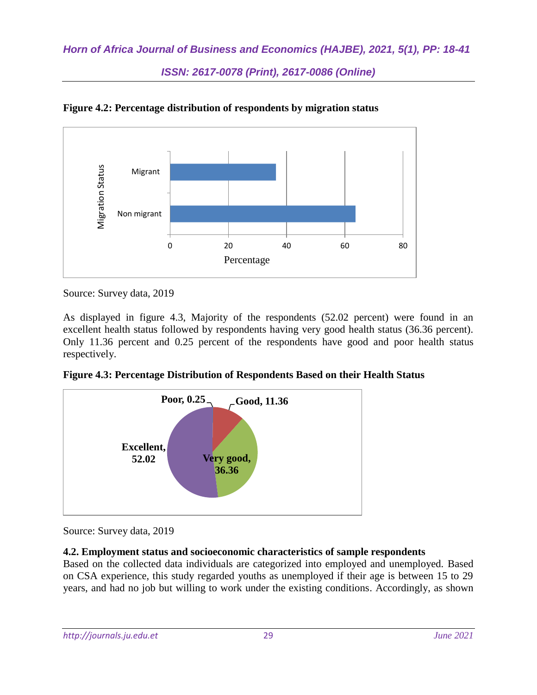

**Figure 4.2: Percentage distribution of respondents by migration status**

Source: Survey data, 2019

As displayed in figure 4.3, Majority of the respondents (52.02 percent) were found in an excellent health status followed by respondents having very good health status (36.36 percent). Only 11.36 percent and 0.25 percent of the respondents have good and poor health status respectively.

**Figure 4.3: Percentage Distribution of Respondents Based on their Health Status**



Source: Survey data, 2019

## **4.2. Employment status and socioeconomic characteristics of sample respondents**

Based on the collected data individuals are categorized into employed and unemployed. Based on CSA experience, this study regarded youths as unemployed if their age is between 15 to 29 years, and had no job but willing to work under the existing conditions. Accordingly, as shown

*http://journals.ju.edu.et* 29 *June 2021*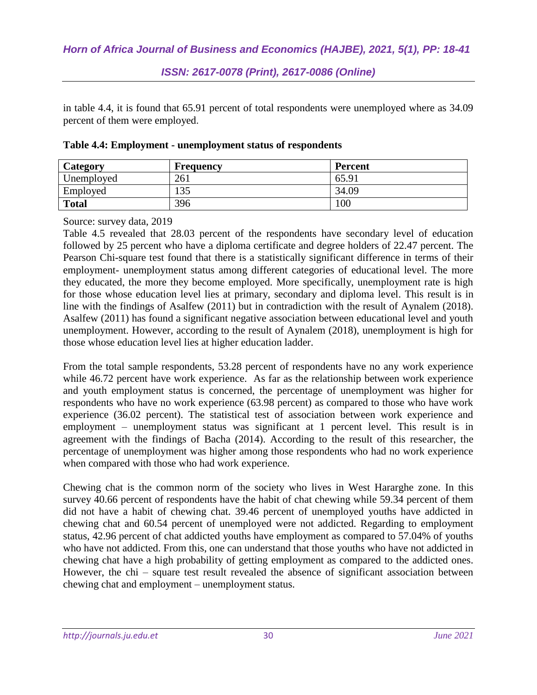in table 4.4, it is found that 65.91 percent of total respondents were unemployed where as 34.09 percent of them were employed.

| Category     | Frequency         | <b>Percent</b> |
|--------------|-------------------|----------------|
| Unemployed   | 261               | 65.91          |
| Employed     | $\Omega$<br>1 J J | 34.09          |
| <b>Total</b> | 396               | 100            |

**Table 4.4: Employment - unemployment status of respondents**

Source: survey data, 2019

Table 4.5 revealed that 28.03 percent of the respondents have secondary level of education followed by 25 percent who have a diploma certificate and degree holders of 22.47 percent. The Pearson Chi-square test found that there is a statistically significant difference in terms of their employment- unemployment status among different categories of educational level. The more they educated, the more they become employed. More specifically, unemployment rate is high for those whose education level lies at primary, secondary and diploma level. This result is in line with the findings of Asalfew (2011) but in contradiction with the result of Aynalem (2018). Asalfew (2011) has found a significant negative association between educational level and youth unemployment. However, according to the result of Aynalem (2018), unemployment is high for those whose education level lies at higher education ladder.

From the total sample respondents, 53.28 percent of respondents have no any work experience while 46.72 percent have work experience. As far as the relationship between work experience and youth employment status is concerned, the percentage of unemployment was higher for respondents who have no work experience (63.98 percent) as compared to those who have work experience (36.02 percent). The statistical test of association between work experience and employment – unemployment status was significant at 1 percent level. This result is in agreement with the findings of Bacha (2014). According to the result of this researcher, the percentage of unemployment was higher among those respondents who had no work experience when compared with those who had work experience.

Chewing chat is the common norm of the society who lives in West Hararghe zone. In this survey 40.66 percent of respondents have the habit of chat chewing while 59.34 percent of them did not have a habit of chewing chat. 39.46 percent of unemployed youths have addicted in chewing chat and 60.54 percent of unemployed were not addicted. Regarding to employment status, 42.96 percent of chat addicted youths have employment as compared to 57.04% of youths who have not addicted. From this, one can understand that those youths who have not addicted in chewing chat have a high probability of getting employment as compared to the addicted ones. However, the chi – square test result revealed the absence of significant association between chewing chat and employment – unemployment status.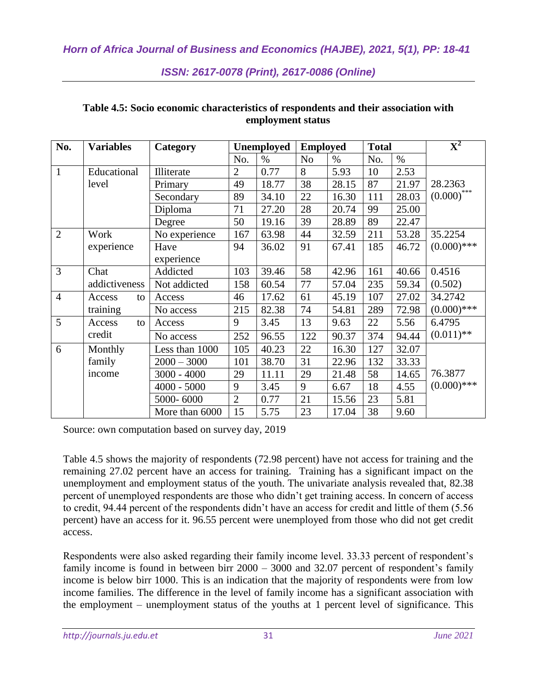| No.            | <b>Variables</b> | Category       |                | <b>Unemployed</b> | <b>Employed</b> |       | <b>Total</b> |       | $\overline{\mathbf{X}^2}$ |
|----------------|------------------|----------------|----------------|-------------------|-----------------|-------|--------------|-------|---------------------------|
|                |                  |                | No.            | $\%$              | No              | $\%$  | No.          | $\%$  |                           |
| $\mathbf{1}$   | Educational      | Illiterate     | $\overline{2}$ | 0.77              | 8               | 5.93  | 10           | 2.53  |                           |
|                | level            | Primary        | 49             | 18.77             | 38              | 28.15 | 87           | 21.97 | 28.2363                   |
|                |                  | Secondary      | 89             | 34.10             | 22              | 16.30 | 111          | 28.03 | $(0.000)$ ***             |
|                |                  | Diploma        | 71             | 27.20             | 28              | 20.74 | 99           | 25.00 |                           |
|                |                  | Degree         | 50             | 19.16             | 39              | 28.89 | 89           | 22.47 |                           |
| $\overline{2}$ | Work             | No experience  | 167            | 63.98             | 44              | 32.59 | 211          | 53.28 | 35.2254                   |
|                | experience       | Have           | 94             | 36.02             | 91              | 67.41 | 185          | 46.72 | $(0.000)$ ***             |
|                |                  | experience     |                |                   |                 |       |              |       |                           |
| 3              | Chat             | Addicted       | 103            | 39.46             | 58              | 42.96 | 161          | 40.66 | 0.4516                    |
|                | addictiveness    | Not addicted   | 158            | 60.54             | 77              | 57.04 | 235          | 59.34 | (0.502)                   |
| $\overline{4}$ | Access<br>to     | Access         | 46             | 17.62             | 61              | 45.19 | 107          | 27.02 | 34.2742                   |
|                | training         | No access      | 215            | 82.38             | 74              | 54.81 | 289          | 72.98 | $(0.000)$ ***             |
| 5              | Access<br>to     | Access         | 9              | 3.45              | 13              | 9.63  | 22           | 5.56  | 6.4795                    |
|                | credit           | No access      | 252            | 96.55             | 122             | 90.37 | 374          | 94.44 | $(0.011)$ **              |
| 6              | Monthly          | Less than 1000 | 105            | 40.23             | 22              | 16.30 | 127          | 32.07 |                           |
|                | family           | $2000 - 3000$  | 101            | 38.70             | 31              | 22.96 | 132          | 33.33 |                           |
|                | income           | $3000 - 4000$  | 29             | 11.11             | 29              | 21.48 | 58           | 14.65 | 76.3877                   |
|                |                  | $4000 - 5000$  | 9              | 3.45              | 9               | 6.67  | 18           | 4.55  | $(0.000)$ ***             |
|                |                  | 5000-6000      | $\overline{2}$ | 0.77              | 21              | 15.56 | 23           | 5.81  |                           |
|                |                  | More than 6000 | 15             | 5.75              | 23              | 17.04 | 38           | 9.60  |                           |

#### **Table 4.5: Socio economic characteristics of respondents and their association with employment status**

Source: own computation based on survey day, 2019

Table 4.5 shows the majority of respondents (72.98 percent) have not access for training and the remaining 27.02 percent have an access for training. Training has a significant impact on the unemployment and employment status of the youth. The univariate analysis revealed that, 82.38 percent of unemployed respondents are those who didn't get training access. In concern of access to credit, 94.44 percent of the respondents didn't have an access for credit and little of them (5.56 percent) have an access for it. 96.55 percent were unemployed from those who did not get credit access.

Respondents were also asked regarding their family income level. 33.33 percent of respondent's family income is found in between birr 2000 – 3000 and 32.07 percent of respondent's family income is below birr 1000. This is an indication that the majority of respondents were from low income families. The difference in the level of family income has a significant association with the employment – unemployment status of the youths at 1 percent level of significance. This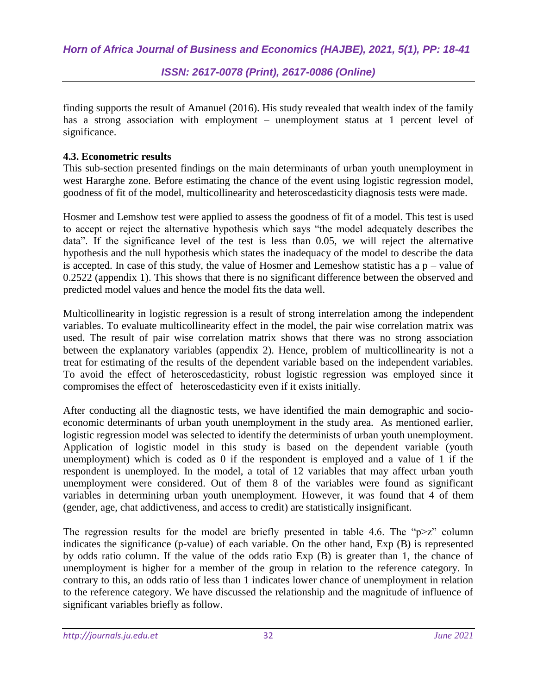finding supports the result of Amanuel (2016). His study revealed that wealth index of the family has a strong association with employment – unemployment status at 1 percent level of significance.

### **4.3. Econometric results**

This sub-section presented findings on the main determinants of urban youth unemployment in west Hararghe zone. Before estimating the chance of the event using logistic regression model, goodness of fit of the model, multicollinearity and heteroscedasticity diagnosis tests were made.

Hosmer and Lemshow test were applied to assess the goodness of fit of a model. This test is used to accept or reject the alternative hypothesis which says "the model adequately describes the data". If the significance level of the test is less than 0.05, we will reject the alternative hypothesis and the null hypothesis which states the inadequacy of the model to describe the data is accepted. In case of this study, the value of Hosmer and Lemeshow statistic has a  $p$  – value of 0.2522 (appendix 1). This shows that there is no significant difference between the observed and predicted model values and hence the model fits the data well.

Multicollinearity in logistic regression is a result of strong interrelation among the independent variables. To evaluate multicollinearity effect in the model, the pair wise correlation matrix was used. The result of pair wise correlation matrix shows that there was no strong association between the explanatory variables (appendix 2). Hence, problem of multicollinearity is not a treat for estimating of the results of the dependent variable based on the independent variables. To avoid the effect of heteroscedasticity, robust logistic regression was employed since it compromises the effect of heteroscedasticity even if it exists initially.

After conducting all the diagnostic tests, we have identified the main demographic and socioeconomic determinants of urban youth unemployment in the study area. As mentioned earlier, logistic regression model was selected to identify the determinists of urban youth unemployment. Application of logistic model in this study is based on the dependent variable (youth unemployment) which is coded as 0 if the respondent is employed and a value of 1 if the respondent is unemployed. In the model, a total of 12 variables that may affect urban youth unemployment were considered. Out of them 8 of the variables were found as significant variables in determining urban youth unemployment. However, it was found that 4 of them (gender, age, chat addictiveness, and access to credit) are statistically insignificant.

The regression results for the model are briefly presented in table 4.6. The " $p\geq z$ " column indicates the significance (p-value) of each variable. On the other hand, Exp (B) is represented by odds ratio column. If the value of the odds ratio Exp (B) is greater than 1, the chance of unemployment is higher for a member of the group in relation to the reference category. In contrary to this, an odds ratio of less than 1 indicates lower chance of unemployment in relation to the reference category. We have discussed the relationship and the magnitude of influence of significant variables briefly as follow.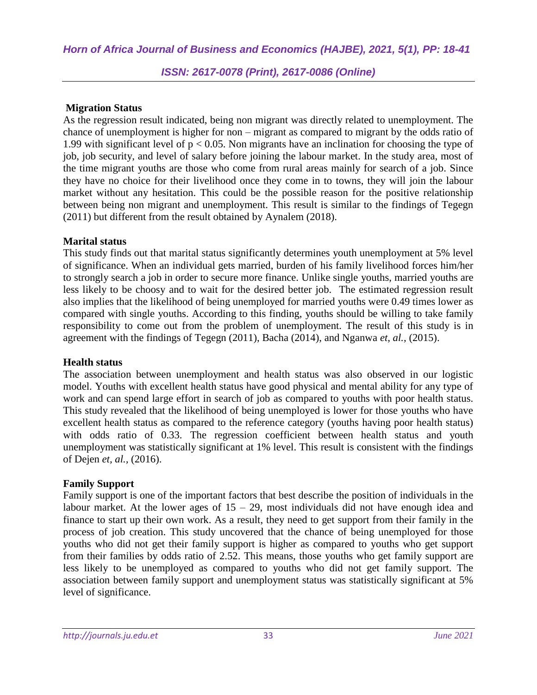#### **Migration Status**

As the regression result indicated, being non migrant was directly related to unemployment. The chance of unemployment is higher for non – migrant as compared to migrant by the odds ratio of 1.99 with significant level of  $p < 0.05$ . Non migrants have an inclination for choosing the type of job, job security, and level of salary before joining the labour market. In the study area, most of the time migrant youths are those who come from rural areas mainly for search of a job. Since they have no choice for their livelihood once they come in to towns, they will join the labour market without any hesitation. This could be the possible reason for the positive relationship between being non migrant and unemployment. This result is similar to the findings of Tegegn (2011) but different from the result obtained by Aynalem (2018).

#### **Marital status**

This study finds out that marital status significantly determines youth unemployment at 5% level of significance. When an individual gets married, burden of his family livelihood forces him/her to strongly search a job in order to secure more finance. Unlike single youths, married youths are less likely to be choosy and to wait for the desired better job. The estimated regression result also implies that the likelihood of being unemployed for married youths were 0.49 times lower as compared with single youths. According to this finding, youths should be willing to take family responsibility to come out from the problem of unemployment. The result of this study is in agreement with the findings of Tegegn (2011), Bacha (2014), and Nganwa *et, al.,* (2015).

#### **Health status**

The association between unemployment and health status was also observed in our logistic model. Youths with excellent health status have good physical and mental ability for any type of work and can spend large effort in search of job as compared to youths with poor health status. This study revealed that the likelihood of being unemployed is lower for those youths who have excellent health status as compared to the reference category (youths having poor health status) with odds ratio of 0.33. The regression coefficient between health status and youth unemployment was statistically significant at 1% level. This result is consistent with the findings of Dejen *et, al.,* (2016).

### **Family Support**

Family support is one of the important factors that best describe the position of individuals in the labour market. At the lower ages of  $15 - 29$ , most individuals did not have enough idea and finance to start up their own work. As a result, they need to get support from their family in the process of job creation. This study uncovered that the chance of being unemployed for those youths who did not get their family support is higher as compared to youths who get support from their families by odds ratio of 2.52. This means, those youths who get family support are less likely to be unemployed as compared to youths who did not get family support. The association between family support and unemployment status was statistically significant at 5% level of significance.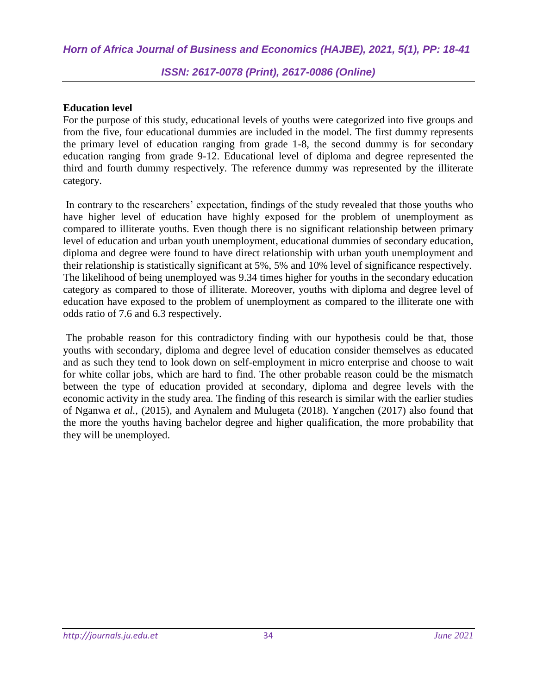### **Education level**

For the purpose of this study, educational levels of youths were categorized into five groups and from the five, four educational dummies are included in the model. The first dummy represents the primary level of education ranging from grade 1-8, the second dummy is for secondary education ranging from grade 9-12. Educational level of diploma and degree represented the third and fourth dummy respectively. The reference dummy was represented by the illiterate category.

In contrary to the researchers' expectation, findings of the study revealed that those youths who have higher level of education have highly exposed for the problem of unemployment as compared to illiterate youths. Even though there is no significant relationship between primary level of education and urban youth unemployment, educational dummies of secondary education, diploma and degree were found to have direct relationship with urban youth unemployment and their relationship is statistically significant at 5%, 5% and 10% level of significance respectively. The likelihood of being unemployed was 9.34 times higher for youths in the secondary education category as compared to those of illiterate. Moreover, youths with diploma and degree level of education have exposed to the problem of unemployment as compared to the illiterate one with odds ratio of 7.6 and 6.3 respectively.

The probable reason for this contradictory finding with our hypothesis could be that, those youths with secondary, diploma and degree level of education consider themselves as educated and as such they tend to look down on self-employment in micro enterprise and choose to wait for white collar jobs, which are hard to find. The other probable reason could be the mismatch between the type of education provided at secondary, diploma and degree levels with the economic activity in the study area. The finding of this research is similar with the earlier studies of Nganwa *et al.,* (2015), and Aynalem and Mulugeta (2018). Yangchen (2017) also found that the more the youths having bachelor degree and higher qualification, the more probability that they will be unemployed.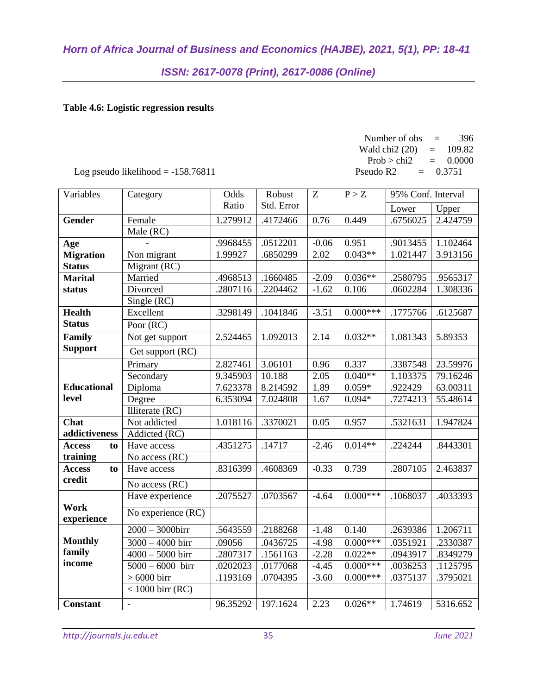### **Table 4.6: Logistic regression results**

| Number of obs    | $=$ | 396    |
|------------------|-----|--------|
| Wald chi2 (20)   | $=$ | 109.82 |
| Prob > chi2      | $=$ | 0.0000 |
| Pseudo R2<br>$=$ |     | 0.3751 |

| Variables                 | Category                      | Odds     | Robust     | $\boldsymbol{Z}$ | P > Z      | 95% Conf. Interval    |          |
|---------------------------|-------------------------------|----------|------------|------------------|------------|-----------------------|----------|
|                           |                               | Ratio    | Std. Error |                  |            | Lower                 | Upper    |
| <b>Gender</b>             | Female                        | 1.279912 | .4172466   | 0.76             | 0.449      | .6756025              | 2.424759 |
|                           | $\overline{\text{Male}}$ (RC) |          |            |                  |            |                       |          |
| Age                       |                               | .9968455 | .0512201   | $-0.06$          | 0.951      | .9013455              | 1.102464 |
| <b>Migration</b>          | Non migrant                   | 1.99927  | .6850299   | 2.02             | $0.043**$  | 1.021447              | 3.913156 |
| <b>Status</b>             | Migrant (RC)                  |          |            |                  |            |                       |          |
| <b>Marital</b>            | Married                       | .4968513 | .1660485   | $-2.09$          | $0.036**$  | .2580795              | .9565317 |
| status                    | Divorced                      | .2807116 | .2204462   | $-1.62$          | 0.106      | .0602284              | 1.308336 |
|                           | Single (RC)                   |          |            |                  |            |                       |          |
| <b>Health</b>             | Excellent                     | .3298149 | .1041846   | $-3.51$          | $0.000***$ | .1775766              | .6125687 |
| <b>Status</b>             | Poor (RC)                     |          |            |                  |            |                       |          |
| Family                    | Not get support               | 2.524465 | 1.092013   | 2.14             | $0.032**$  | 1.081343              | 5.89353  |
| <b>Support</b>            | Get support (RC)              |          |            |                  |            |                       |          |
|                           | Primary                       | 2.827461 | 3.06101    | 0.96             | 0.337      | .3387548              | 23.59976 |
|                           | Secondary                     | 9.345903 | 10.188     | 2.05             | $0.040**$  | $\overline{1.103375}$ | 79.16246 |
| <b>Educational</b>        | Diploma                       | 7.623378 | 8.214592   | 1.89             | $0.059*$   | .922429               | 63.00311 |
| level                     | Degree                        | 6.353094 | 7.024808   | 1.67             | $0.094*$   | .7274213              | 55.48614 |
|                           | Illiterate (RC)               |          |            |                  |            |                       |          |
| Chat                      | Not addicted                  | 1.018116 | .3370021   | 0.05             | 0.957      | .5321631              | 1.947824 |
| addictiveness             | Addicted (RC)                 |          |            |                  |            |                       |          |
| <b>Access</b><br>to       | Have access                   | .4351275 | .14717     | $-2.46$          | $0.014**$  | .224244               | .8443301 |
| training                  | No access (RC)                |          |            |                  |            |                       |          |
| to<br><b>Access</b>       | Have access                   | .8316399 | .4608369   | $-0.33$          | 0.739      | .2807105              | 2.463837 |
| credit                    | No access (RC)                |          |            |                  |            |                       |          |
|                           | Have experience               | .2075527 | .0703567   | $-4.64$          | $0.000***$ | .1068037              | .4033393 |
| <b>Work</b><br>experience | No experience (RC)            |          |            |                  |            |                       |          |
|                           | $2000 - 3000$ birr            | .5643559 | .2188268   | $-1.48$          | 0.140      | .2639386              | 1.206711 |
| <b>Monthly</b>            | $3000 - 4000$ birr            | .09056   | .0436725   | $-4.98$          | $0.000***$ | .0351921              | .2330387 |
| family                    | $4000 - 5000$ birr            | .2807317 | .1561163   | $-2.28$          | $0.022**$  | .0943917              | .8349279 |
| income                    | $5000 - 6000$ birr            | .0202023 | .0177068   | $-4.45$          | $0.000***$ | .0036253              | .1125795 |
|                           | $>6000$ birr                  | .1193169 | .0704395   | $-3.60$          | $0.000***$ | .0375137              | .3795021 |
|                           | $<$ 1000 birr (RC)            |          |            |                  |            |                       |          |
|                           |                               |          |            |                  |            |                       |          |
| <b>Constant</b>           | $\overline{\phantom{a}}$      | 96.35292 | 197.1624   | 2.23             | $0.026**$  | 1.74619               | 5316.652 |

Log pseudo likelihood  $= -158.76811$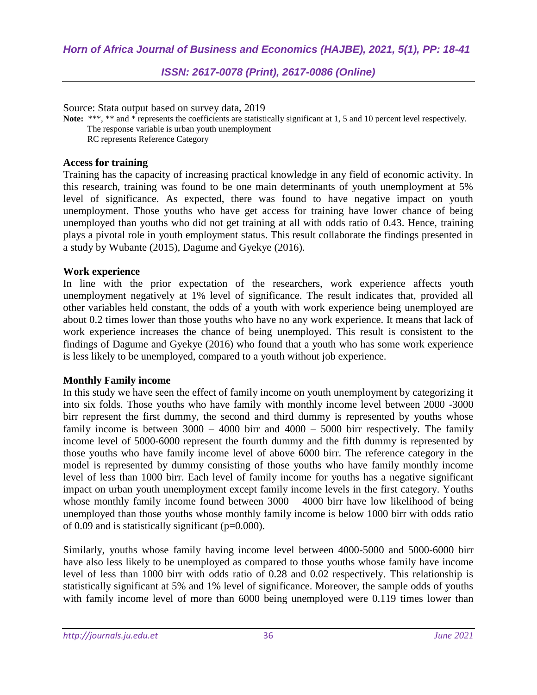Source: Stata output based on survey data, 2019

Note: \*\*\*, \*\* and \* represents the coefficients are statistically significant at 1, 5 and 10 percent level respectively. The response variable is urban youth unemployment RC represents Reference Category

#### **Access for training**

Training has the capacity of increasing practical knowledge in any field of economic activity. In this research, training was found to be one main determinants of youth unemployment at 5% level of significance. As expected, there was found to have negative impact on youth unemployment. Those youths who have get access for training have lower chance of being unemployed than youths who did not get training at all with odds ratio of 0.43. Hence, training plays a pivotal role in youth employment status. This result collaborate the findings presented in a study by Wubante (2015), Dagume and Gyekye (2016).

#### **Work experience**

In line with the prior expectation of the researchers, work experience affects youth unemployment negatively at 1% level of significance. The result indicates that, provided all other variables held constant, the odds of a youth with work experience being unemployed are about 0.2 times lower than those youths who have no any work experience. It means that lack of work experience increases the chance of being unemployed. This result is consistent to the findings of Dagume and Gyekye (2016) who found that a youth who has some work experience is less likely to be unemployed, compared to a youth without job experience.

#### **Monthly Family income**

In this study we have seen the effect of family income on youth unemployment by categorizing it into six folds. Those youths who have family with monthly income level between 2000 -3000 birr represent the first dummy, the second and third dummy is represented by youths whose family income is between  $3000 - 4000$  birr and  $4000 - 5000$  birr respectively. The family income level of 5000-6000 represent the fourth dummy and the fifth dummy is represented by those youths who have family income level of above 6000 birr. The reference category in the model is represented by dummy consisting of those youths who have family monthly income level of less than 1000 birr. Each level of family income for youths has a negative significant impact on urban youth unemployment except family income levels in the first category. Youths whose monthly family income found between  $3000 - 4000$  birr have low likelihood of being unemployed than those youths whose monthly family income is below 1000 birr with odds ratio of 0.09 and is statistically significant (p=0.000).

Similarly, youths whose family having income level between 4000-5000 and 5000-6000 birr have also less likely to be unemployed as compared to those youths whose family have income level of less than 1000 birr with odds ratio of 0.28 and 0.02 respectively. This relationship is statistically significant at 5% and 1% level of significance. Moreover, the sample odds of youths with family income level of more than 6000 being unemployed were 0.119 times lower than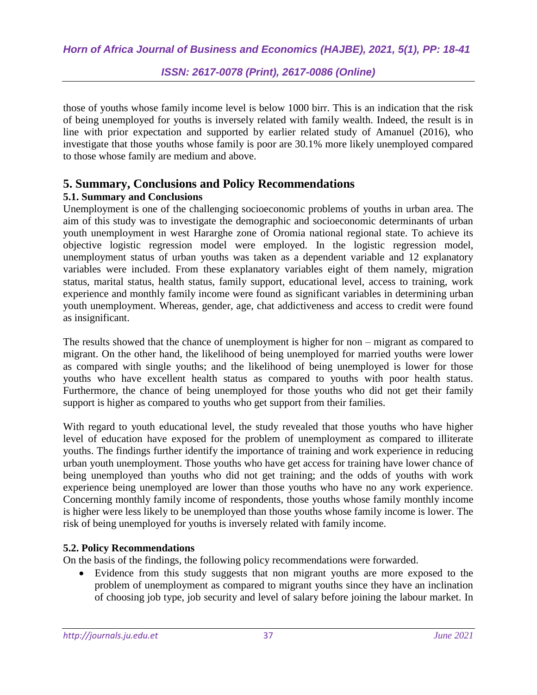those of youths whose family income level is below 1000 birr. This is an indication that the risk of being unemployed for youths is inversely related with family wealth. Indeed, the result is in line with prior expectation and supported by earlier related study of Amanuel (2016), who investigate that those youths whose family is poor are 30.1% more likely unemployed compared to those whose family are medium and above.

## **5. Summary, Conclusions and Policy Recommendations**

### **5.1. Summary and Conclusions**

Unemployment is one of the challenging socioeconomic problems of youths in urban area. The aim of this study was to investigate the demographic and socioeconomic determinants of urban youth unemployment in west Hararghe zone of Oromia national regional state. To achieve its objective logistic regression model were employed. In the logistic regression model, unemployment status of urban youths was taken as a dependent variable and 12 explanatory variables were included. From these explanatory variables eight of them namely, migration status, marital status, health status, family support, educational level, access to training, work experience and monthly family income were found as significant variables in determining urban youth unemployment. Whereas, gender, age, chat addictiveness and access to credit were found as insignificant.

The results showed that the chance of unemployment is higher for non – migrant as compared to migrant. On the other hand, the likelihood of being unemployed for married youths were lower as compared with single youths; and the likelihood of being unemployed is lower for those youths who have excellent health status as compared to youths with poor health status. Furthermore, the chance of being unemployed for those youths who did not get their family support is higher as compared to youths who get support from their families.

With regard to youth educational level, the study revealed that those youths who have higher level of education have exposed for the problem of unemployment as compared to illiterate youths. The findings further identify the importance of training and work experience in reducing urban youth unemployment. Those youths who have get access for training have lower chance of being unemployed than youths who did not get training; and the odds of youths with work experience being unemployed are lower than those youths who have no any work experience. Concerning monthly family income of respondents, those youths whose family monthly income is higher were less likely to be unemployed than those youths whose family income is lower. The risk of being unemployed for youths is inversely related with family income.

### **5.2. Policy Recommendations**

On the basis of the findings, the following policy recommendations were forwarded.

 Evidence from this study suggests that non migrant youths are more exposed to the problem of unemployment as compared to migrant youths since they have an inclination of choosing job type, job security and level of salary before joining the labour market. In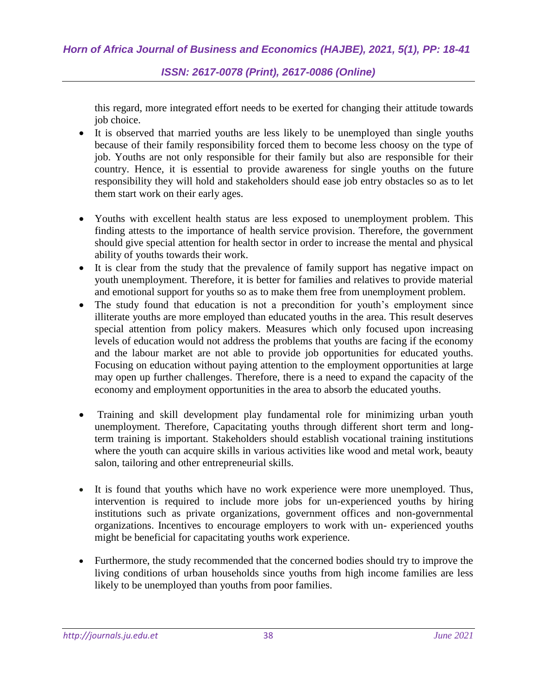this regard, more integrated effort needs to be exerted for changing their attitude towards job choice.

- It is observed that married youths are less likely to be unemployed than single youths because of their family responsibility forced them to become less choosy on the type of job. Youths are not only responsible for their family but also are responsible for their country. Hence, it is essential to provide awareness for single youths on the future responsibility they will hold and stakeholders should ease job entry obstacles so as to let them start work on their early ages.
- Youths with excellent health status are less exposed to unemployment problem. This finding attests to the importance of health service provision. Therefore, the government should give special attention for health sector in order to increase the mental and physical ability of youths towards their work.
- It is clear from the study that the prevalence of family support has negative impact on youth unemployment. Therefore, it is better for families and relatives to provide material and emotional support for youths so as to make them free from unemployment problem.
- The study found that education is not a precondition for youth's employment since illiterate youths are more employed than educated youths in the area. This result deserves special attention from policy makers. Measures which only focused upon increasing levels of education would not address the problems that youths are facing if the economy and the labour market are not able to provide job opportunities for educated youths. Focusing on education without paying attention to the employment opportunities at large may open up further challenges. Therefore, there is a need to expand the capacity of the economy and employment opportunities in the area to absorb the educated youths.
- Training and skill development play fundamental role for minimizing urban youth unemployment. Therefore, Capacitating youths through different short term and longterm training is important. Stakeholders should establish vocational training institutions where the youth can acquire skills in various activities like wood and metal work, beauty salon, tailoring and other entrepreneurial skills.
- It is found that youths which have no work experience were more unemployed. Thus, intervention is required to include more jobs for un-experienced youths by hiring institutions such as private organizations, government offices and non-governmental organizations. Incentives to encourage employers to work with un- experienced youths might be beneficial for capacitating youths work experience.
- Furthermore, the study recommended that the concerned bodies should try to improve the living conditions of urban households since youths from high income families are less likely to be unemployed than youths from poor families.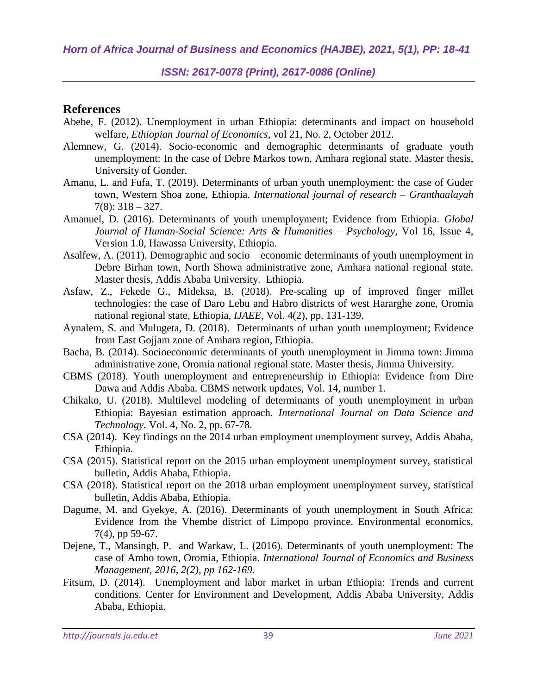## **References**

- Abebe, F. (2012). Unemployment in urban Ethiopia: determinants and impact on household welfare*, Ethiopian Journal of Economics*, vol 21, No. 2, October 2012.
- Alemnew, G. (2014). Socio-economic and demographic determinants of graduate youth unemployment: In the case of Debre Markos town, Amhara regional state. Master thesis, University of Gonder.
- Amanu, L. and Fufa, T. (2019). Determinants of urban youth unemployment: the case of Guder town, Western Shoa zone, Ethiopia. *International journal of research – Granthaalayah*   $7(8): 318 - 327.$
- Amanuel, D. (2016). Determinants of youth unemployment; Evidence from Ethiopia. *Global Journal of Human-Social Science: Arts & Humanities – Psychology,* Vol 16, Issue 4, Version 1.0, Hawassa University, Ethiopia.
- Asalfew, A. (2011). Demographic and socio economic determinants of youth unemployment in Debre Birhan town, North Showa administrative zone, Amhara national regional state. Master thesis, Addis Ababa University. Ethiopia.
- Asfaw, Z., Fekede G., Mideksa, B. (2018). Pre-scaling up of improved finger millet technologies: the case of Daro Lebu and Habro districts of west Hararghe zone, Oromia national regional state, Ethiopia, *IJAEE*, Vol. 4(2), pp. 131-139.
- Aynalem, S. and Mulugeta, D. (2018). Determinants of urban youth unemployment; Evidence from East Gojjam zone of Amhara region, Ethiopia.
- Bacha, B. (2014). Socioeconomic determinants of youth unemployment in Jimma town: Jimma administrative zone, Oromia national regional state. Master thesis, Jimma University.
- CBMS (2018). Youth unemployment and entrepreneurship in Ethiopia: Evidence from Dire Dawa and Addis Ababa. CBMS network updates, Vol. 14, number 1.
- Chikako, U. (2018). Multilevel modeling of determinants of youth unemployment in urban Ethiopia: Bayesian estimation approach. *International Journal on Data Science and Technology.* Vol. 4, No. 2, pp. 67-78.
- CSA (2014). Key findings on the 2014 urban employment unemployment survey, Addis Ababa, Ethiopia.
- CSA (2015). Statistical report on the 2015 urban employment unemployment survey, statistical bulletin, Addis Ababa, Ethiopia.
- CSA (2018). Statistical report on the 2018 urban employment unemployment survey, statistical bulletin, Addis Ababa, Ethiopia.
- Dagume, M. and Gyekye, A. (2016). Determinants of youth unemployment in South Africa: Evidence from the Vhembe district of Limpopo province. Environmental economics, 7(4), pp 59-67.
- Dejene, T., Mansingh, P. and Warkaw, L. (2016). Determinants of youth unemployment: The case of Ambo town, Oromia, Ethiopia. *International Journal of Economics and Business Management, 2016, 2(2), pp 162-169.*
- Fitsum, D. (2014). Unemployment and labor market in urban Ethiopia: Trends and current conditions. Center for Environment and Development, Addis Ababa University, Addis Ababa, Ethiopia.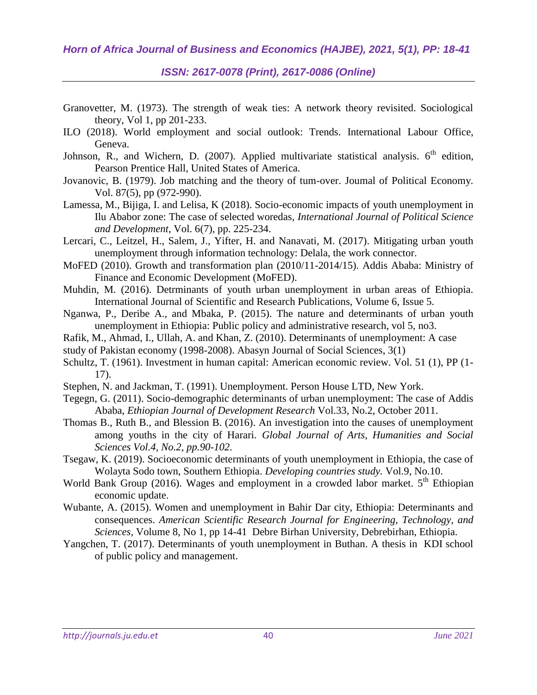#### *Horn of Africa Journal of Business and Economics (HAJBE), 2021, 5(1), PP: 18-41*

*ISSN: 2617-0078 (Print), 2617-0086 (Online)*

- Granovetter, M. (1973). The strength of weak ties: A network theory revisited. Sociological theory, Vol 1, pp 201-233.
- ILO (2018). World employment and social outlook: Trends. International Labour Office, Geneva.
- Johnson, R., and Wichern, D. (2007). Applied multivariate statistical analysis.  $6<sup>th</sup>$  edition, Pearson Prentice Hall, United States of America.
- Jovanovic, B. (1979). Job matching and the theory of tum-over. Joumal of Political Economy. Vol. 87(5), pp (972-990).
- Lamessa, M., Bijiga, I. and Lelisa, K (2018). Socio-economic impacts of youth unemployment in Ilu Ababor zone: The case of selected woredas, *International Journal of Political Science and Development*, Vol. 6(7), pp. 225-234.
- Lercari, C., Leitzel, H., Salem, J., Yifter, H. and Nanavati, M. (2017). Mitigating urban youth unemployment through information technology: Delala, the work connector.
- MoFED (2010). Growth and transformation plan (2010/11-2014/15). Addis Ababa: Ministry of Finance and Economic Development (MoFED).
- Muhdin, M. (2016). Detrminants of youth urban unemployment in urban areas of Ethiopia. International Journal of Scientific and Research Publications, Volume 6, Issue 5.
- Nganwa, P., Deribe A., and Mbaka, P. (2015). The nature and determinants of urban youth unemployment in Ethiopia: Public policy and administrative research, vol 5, no3.
- Rafik, M., Ahmad, I., Ullah, A. and Khan, Z. (2010). Determinants of unemployment: A case
- study of Pakistan economy (1998-2008). Abasyn Journal of Social Sciences, 3(1)
- Schultz, T. (1961). Investment in human capital: American economic review. Vol. 51 (1), PP (1- 17).
- Stephen, N. and Jackman, T. (1991). Unemployment. Person House LTD, New York.
- Tegegn, G. (2011). Socio-demographic determinants of urban unemployment: The case of Addis Ababa, *Ethiopian Journal of Development Research* Vol.33, No.2, October 2011.
- Thomas B., Ruth B., and Blession B. (2016). An investigation into the causes of unemployment among youths in the city of Harari. *Global Journal of Arts, Humanities and Social Sciences Vol.4, No.2, pp.90-102*.
- Tsegaw, K. (2019). Socioeconomic determinants of youth unemployment in Ethiopia, the case of Wolayta Sodo town, Southern Ethiopia. *Developing countries study.* Vol.9, No.10.
- World Bank Group (2016). Wages and employment in a crowded labor market.  $5<sup>th</sup>$  Ethiopian economic update.
- Wubante, A. (2015). Women and unemployment in Bahir Dar city, Ethiopia: Determinants and consequences. *American Scientific Research Journal for Engineering, Technology, and Sciences*, Volume 8, No 1, pp 14-41 Debre Birhan University, Debrebirhan, Ethiopia.
- Yangchen, T. (2017). Determinants of youth unemployment in Buthan. A thesis in KDI school of public policy and management.